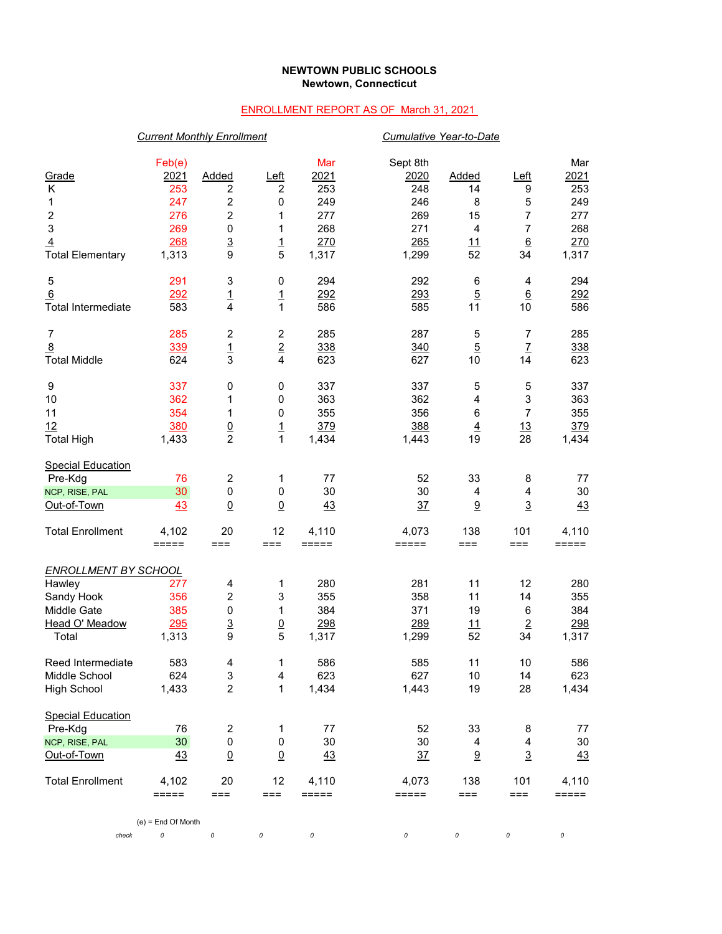## **NEWTOWN PUBLIC SCHOOLS Newtown, Connecticut**

## ENROLLMENT REPORT AS OF March 31, 2021

|                                                                                               | <b>Current Monthly Enrollment</b>                          |                                                                                |                                                          |                                                         |                                                              | Cumulative Year-to-Date                              |                                                                       |                                                         |  |  |
|-----------------------------------------------------------------------------------------------|------------------------------------------------------------|--------------------------------------------------------------------------------|----------------------------------------------------------|---------------------------------------------------------|--------------------------------------------------------------|------------------------------------------------------|-----------------------------------------------------------------------|---------------------------------------------------------|--|--|
| Grade<br>Κ<br>1<br>$\overline{\mathbf{c}}$<br>3<br>$\overline{4}$<br><b>Total Elementary</b>  | Feb(e)<br>2021<br>253<br>247<br>276<br>269<br>268<br>1,313 | Added<br>2<br>$\overline{\mathbf{c}}$<br>2<br>$\pmb{0}$<br>$\overline{3}$<br>9 | Left<br>$\boldsymbol{2}$<br>0<br>1<br>1<br>$\frac{1}{5}$ | Mar<br>2021<br>253<br>249<br>277<br>268<br>270<br>1,317 | Sept 8th<br>2020<br>248<br>246<br>269<br>271<br>265<br>1,299 | Added<br>14<br>8<br>15<br>$\overline{4}$<br>11<br>52 | <u>Left</u><br>9<br>5<br>7<br>$\overline{7}$<br>$\underline{6}$<br>34 | Mar<br>2021<br>253<br>249<br>277<br>268<br>270<br>1,317 |  |  |
| 5<br>6<br><b>Total Intermediate</b>                                                           | 291<br>292<br>583                                          | 3<br>$\frac{1}{4}$                                                             | 0<br>$\overline{1}$<br>1                                 | 294<br>292<br>586                                       | 292<br>293<br>585                                            | 6<br>$\overline{5}$<br>11                            | 4<br>$\underline{6}$<br>10                                            | 294<br>292<br>586                                       |  |  |
| $\overline{7}$<br>$\overline{8}$<br><b>Total Middle</b>                                       | 285<br>339<br>624                                          | $\boldsymbol{2}$<br>$\frac{1}{3}$                                              | $\boldsymbol{2}$<br>$\overline{2}$<br>4                  | 285<br>338<br>623                                       | 287<br>340<br>627                                            | 5<br>$\overline{5}$<br>10                            | $\overline{7}$<br>$\mathbf{Z}$<br>14                                  | 285<br>338<br>623                                       |  |  |
| 9<br>10<br>11<br>12<br><b>Total High</b>                                                      | 337<br>362<br>354<br>380<br>1,433                          | 0<br>1<br>1<br>$\frac{0}{2}$                                                   | 0<br>0<br>0<br>$\frac{1}{1}$                             | 337<br>363<br>355<br>379<br>1,434                       | 337<br>362<br>356<br>388<br>1,443                            | 5<br>$\overline{4}$<br>$\,6$<br>$\overline{4}$<br>19 | 5<br>3<br>$\overline{7}$<br>13<br>28                                  | 337<br>363<br>355<br>379<br>1,434                       |  |  |
| <b>Special Education</b><br>Pre-Kdg<br>NCP, RISE, PAL<br>Out-of-Town                          | 76<br>30<br>43                                             | $\overline{\mathbf{c}}$<br>$\pmb{0}$<br>$\underline{0}$                        | 1<br>$\pmb{0}$<br>$\underline{0}$                        | 77<br>30<br>43                                          | 52<br>30<br>37                                               | 33<br>$\overline{4}$<br>$\underline{9}$              | 8<br>4<br>$\overline{3}$                                              | 77<br>30<br>43                                          |  |  |
| <b>Total Enrollment</b>                                                                       | 4,102<br>$=====$                                           | 20<br>$==$                                                                     | 12<br>$==$                                               | 4,110<br>$=====$                                        | 4,073<br>=====                                               | 138<br>===                                           | 101<br>===                                                            | 4,110<br>$=$ $=$ $=$ $=$ $=$                            |  |  |
| <u>ENROLLMENT BY SCHOOL</u><br>Hawley<br>Sandy Hook<br>Middle Gate<br>Head O' Meadow<br>Total | 277<br>356<br>385<br>295<br>1,313                          | 4<br>$\overline{c}$<br>0<br>$\overline{3}$<br>9                                | 1<br>3<br>1<br>$\overline{0}$<br>5                       | 280<br>355<br>384<br>298<br>1,317                       | 281<br>358<br>371<br>289<br>1,299                            | 11<br>11<br>19<br>11<br>52                           | 12<br>14<br>6<br>$\overline{2}$<br>34                                 | 280<br>355<br>384<br>298<br>1,317                       |  |  |
| Reed Intermediate<br>Middle School<br><b>High School</b>                                      | 583<br>624<br>1,433                                        | 4<br>3<br>$\overline{2}$                                                       | 1<br>4<br>1                                              | 586<br>623<br>1,434                                     | 585<br>627<br>1,443                                          | 11<br>10<br>19                                       | 10<br>14<br>28                                                        | 586<br>623<br>1,434                                     |  |  |
| <b>Special Education</b><br>Pre-Kdg<br>NCP, RISE, PAL<br>Out-of-Town                          | 76<br>30 <sub>o</sub><br>43                                | $\overline{\mathbf{c}}$<br>0<br>$\underline{0}$                                | 1<br>$\pmb{0}$<br>$\underline{0}$                        | 77<br>30<br>43                                          | 52<br>30<br>$\frac{37}{2}$                                   | 33<br>4<br>$\underline{9}$                           | 8<br>4<br>$\overline{3}$                                              | 77<br>$30\,$<br>$\frac{43}{5}$                          |  |  |
| <b>Total Enrollment</b><br>check                                                              | 4,102<br>=====<br>$(e)$ = End Of Month<br>0                | 20<br>$==$<br>$\cal O$                                                         | 12<br>===<br>0                                           | 4,110<br>$=====$<br>0                                   | 4,073<br>=====<br>0                                          | 138<br>$==$<br>0                                     | 101<br>$==$<br>0                                                      | 4,110<br>=====<br>0                                     |  |  |
|                                                                                               |                                                            |                                                                                |                                                          |                                                         |                                                              |                                                      |                                                                       |                                                         |  |  |